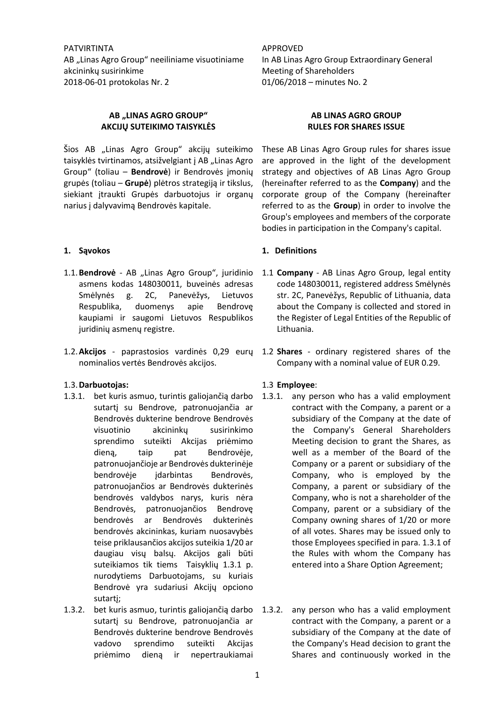PATVIRTINTA AB "Linas Agro Group" neeiliniame visuotiniame akcininkų susirinkime 2018-06-01 protokolas Nr. 2

# **AB "LINAS AGRO GROUP" AKCIJŲ SUTEIKIMO TAISYKLĖS**

Šios AB "Linas Agro Group" akcijų suteikimo taisyklės tvirtinamos, atsižvelgiant į AB "Linas Agro Group" (toliau – **Bendrovė**) ir Bendrovės įmonių grupės (toliau – **Grupė**) plėtros strategiją ir tikslus, siekiant įtraukti Grupės darbuotojus ir organų narius į dalyvavimą Bendrovės kapitale.

### **1. Sąvokos**

- 1.1. Bendrovė AB "Linas Agro Group", juridinio asmens kodas 148030011, buveinės adresas Smėlynės g. 2C, Panevėžys, Lietuvos Respublika, duomenys apie Bendrovę kaupiami ir saugomi Lietuvos Respublikos juridinių asmenų registre.
- 1.2.**Akcijos** paprastosios vardinės 0,29 eurų 1.2 **Shares** ordinary registered shares of the nominalios vertės Bendrovės akcijos.

### 1.3.**Darbuotojas:**

- 1.3.1. bet kuris asmuo, turintis galiojančią darbo sutartį su Bendrove, patronuojančia ar Bendrovės dukterine bendrove Bendrovės visuotinio akcininkų susirinkimo sprendimo suteikti Akcijas priėmimo dieną, taip pat Bendrovėje, patronuojančioje ar Bendrovės dukterinėje bendrovėje įdarbintas Bendrovės, patronuojančios ar Bendrovės dukterinės bendrovės valdybos narys, kuris nėra Bendrovės, patronuojančios Bendrovę bendrovės ar Bendrovės dukterinės bendrovės akcininkas, kuriam nuosavybės teise priklausančios akcijos suteikia 1/20 ar daugiau visų balsų. Akcijos gali būti suteikiamos tik tiems Taisyklių 1.3.1 p. nurodytiems Darbuotojams, su kuriais Bendrovė yra sudariusi Akcijų opciono sutartį;
- 1.3.2. bet kuris asmuo, turintis galiojančią darbo sutartį su Bendrove, patronuojančia ar Bendrovės dukterine bendrove Bendrovės vadovo sprendimo suteikti Akcijas priėmimo dieną ir nepertraukiamai

APPROVED In AB Linas Agro Group Extraordinary General Meeting of Shareholders 01/06/2018 – minutes No. 2

# **AB LINAS AGRO GROUP RULES FOR SHARES ISSUE**

These AB Linas Agro Group rules for shares issue are approved in the light of the development strategy and objectives of AB Linas Agro Group (hereinafter referred to as the **Company**) and the corporate group of the Company (hereinafter referred to as the **Group**) in order to involve the Group's employees and members of the corporate bodies in participation in the Company's capital.

### **1. Definitions**

- 1.1 **Company** AB Linas Agro Group, legal entity code 148030011, registered address Smėlynės str. 2C, Panevėžys, Republic of Lithuania, data about the Company is collected and stored in the Register of Legal Entities of the Republic of Lithuania.
- Company with a nominal value of EUR 0.29.

### 1.3 **Employee**:

- 1.3.1. any person who has a valid employment contract with the Company, a parent or a subsidiary of the Company at the date of the Company's General Shareholders Meeting decision to grant the Shares, as well as a member of the Board of the Company or a parent or subsidiary of the Company, who is employed by the Company, a parent or subsidiary of the Company, who is not a shareholder of the Company, parent or a subsidiary of the Company owning shares of 1/20 or more of all votes. Shares may be issued only to those Employees specified in para. 1.3.1 of the Rules with whom the Company has entered into a Share Option Agreement;
- any person who has a valid employment contract with the Company, a parent or a subsidiary of the Company at the date of the Company's Head decision to grant the Shares and continuously worked in the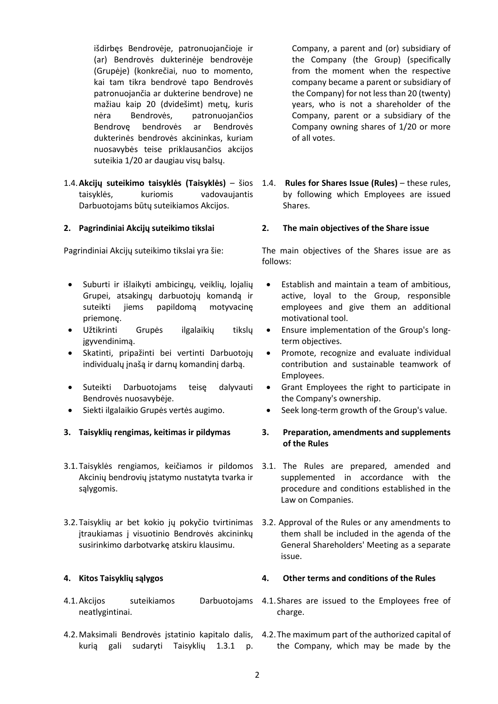išdirbęs Bendrovėje, patronuojančioje ir (ar) Bendrovės dukterinėje bendrovėje (Grupėje) (konkrečiai, nuo to momento, kai tam tikra bendrovė tapo Bendrovės patronuojančia ar dukterine bendrove) ne mažiau kaip 20 (dvidešimt) metų, kuris nėra Bendrovės, patronuojančios Bendrovę bendrovės ar Bendrovės dukterinės bendrovės akcininkas, kuriam nuosavybės teise priklausančios akcijos suteikia 1/20 ar daugiau visų balsų.

1.4.**Akcijų suteikimo taisyklės (Taisyklės)** – šios taisyklės, kuriomis vadovaujantis Darbuotojams būtų suteikiamos Akcijos.

### **2. Pagrindiniai Akcijų suteikimo tikslai**

Pagrindiniai Akcijų suteikimo tikslai yra šie:

- Suburti ir išlaikyti ambicingų, veiklių, lojalių Grupei, atsakingų darbuotojų komandą ir suteikti jiems papildomą motyvacinę priemonę.
- Užtikrinti Grupės ilgalaikių tikslų įgyvendinimą.
- Skatinti, pripažinti bei vertinti Darbuotojų individualų įnašą ir darnų komandinį darbą.
- Suteikti Darbuotojams teisę dalyvauti Bendrovės nuosavybėje.
- Siekti ilgalaikio Grupės vertės augimo.
- **3. Taisyklių rengimas, keitimas ir pildymas**
- 3.1. Taisyklės rengiamos, keičiamos ir pildomos 3.1. The Rules are prepared, amended and Akcinių bendrovių įstatymo nustatyta tvarka ir sąlygomis.
- 3.2.Taisyklių ar bet kokio jų pokyčio tvirtinimas 3.2. Approval of the Rules or any amendments to įtraukiamas į visuotinio Bendrovės akcininkų susirinkimo darbotvarkę atskiru klausimu.

# **4. Kitos Taisyklių sąlygos**

- 4.1.Akcijos suteikiamos Darbuotojams neatlygintinai.
- kurią gali sudaryti Taisyklių 1.3.1 p.

Company, a parent and (or) subsidiary of the Company (the Group) (specifically from the moment when the respective company became a parent or subsidiary of the Company) for not less than 20 (twenty) years, who is not a shareholder of the Company, parent or a subsidiary of the Company owning shares of 1/20 or more of all votes.

1.4. **Rules for Shares Issue (Rules)** – these rules, by following which Employees are issued Shares.

### **2. The main objectives of the Share issue**

The main objectives of the Shares issue are as follows:

- Establish and maintain a team of ambitious, active, loyal to the Group, responsible employees and give them an additional motivational tool.
- Ensure implementation of the Group's longterm objectives.
- Promote, recognize and evaluate individual contribution and sustainable teamwork of Employees.
- Grant Employees the right to participate in the Company's ownership.
- Seek long-term growth of the Group's value.

# **3. Preparation, amendments and supplements of the Rules**

- supplemented in accordance with the procedure and conditions established in the Law on Companies.
- them shall be included in the agenda of the General Shareholders' Meeting as a separate issue.

# **4. Other terms and conditions of the Rules**

- 4.1.Shares are issued to the Employees free of charge.
- 4.2.Maksimali Bendrovės įstatinio kapitalo dalis, 4.2.The maximum part of the authorized capital of the Company, which may be made by the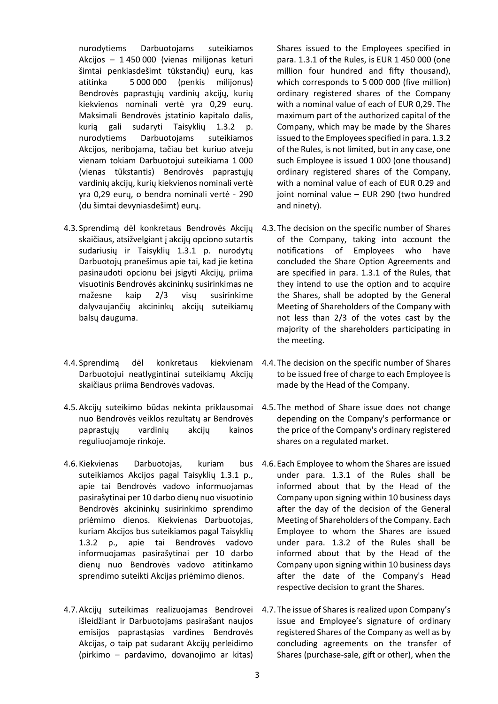nurodytiems Darbuotojams suteikiamos Akcijos – 1 450 000 (vienas milijonas keturi šimtai penkiasdešimt tūkstančių) eurų, kas atitinka 5 000 000 (penkis milijonus) Bendrovės paprastųjų vardinių akcijų, kurių kiekvienos nominali vertė yra 0,29 eurų. Maksimali Bendrovės įstatinio kapitalo dalis, kurią gali sudaryti Taisyklių 1.3.2 p. nurodytiems Darbuotojams suteikiamos Akcijos, neribojama, tačiau bet kuriuo atveju vienam tokiam Darbuotojui suteikiama 1 000 (vienas tūkstantis) Bendrovės paprastųjų vardinių akcijų, kurių kiekvienos nominali vertė yra 0,29 eurų, o bendra nominali vertė - 290 (du šimtai devyniasdešimt) eurų.

- 4.3.Sprendimą dėl konkretaus Bendrovės Akcijų skaičiaus, atsižvelgiant į akcijų opciono sutartis sudariusių ir Taisyklių 1.3.1 p. nurodytų Darbuotojų pranešimus apie tai, kad jie ketina pasinaudoti opcionu bei įsigyti Akcijų, priima visuotinis Bendrovės akcininkų susirinkimas ne mažesne kaip 2/3 visų susirinkime dalyvaujančių akcininkų akcijų suteikiamų balsų dauguma.
- 4.4.Sprendimą dėl konkretaus kiekvienam Darbuotojui neatlygintinai suteikiamų Akcijų skaičiaus priima Bendrovės vadovas.
- 4.5. Akcijų suteikimo būdas nekinta priklausomai 4.5. The method of Share issue does not change nuo Bendrovės veiklos rezultatų ar Bendrovės paprastųjų vardinių akcijų kainos reguliuojamoje rinkoje.
- 4.6.Kiekvienas Darbuotojas, kuriam bus suteikiamos Akcijos pagal Taisyklių 1.3.1 p., apie tai Bendrovės vadovo informuojamas pasirašytinai per 10 darbo dienų nuo visuotinio Bendrovės akcininkų susirinkimo sprendimo priėmimo dienos. Kiekvienas Darbuotojas, kuriam Akcijos bus suteikiamos pagal Taisyklių 1.3.2 p., apie tai Bendrovės vadovo informuojamas pasirašytinai per 10 darbo dienų nuo Bendrovės vadovo atitinkamo sprendimo suteikti Akcijas priėmimo dienos.
- 4.7.Akcijų suteikimas realizuojamas Bendrovei išleidžiant ir Darbuotojams pasirašant naujos emisijos paprastąsias vardines Bendrovės Akcijas, o taip pat sudarant Akcijų perleidimo (pirkimo – pardavimo, dovanojimo ar kitas)

Shares issued to the Employees specified in para. 1.3.1 of the Rules, is EUR 1 450 000 (one million four hundred and fifty thousand), which corresponds to 5 000 000 (five million) ordinary registered shares of the Company with a nominal value of each of EUR 0,29. The maximum part of the authorized capital of the Company, which may be made by the Shares issued to the Employees specified in para. 1.3.2 of the Rules, is not limited, but in any case, one such Employee is issued 1 000 (one thousand) ordinary registered shares of the Company, with a nominal value of each of EUR 0.29 and joint nominal value – EUR 290 (two hundred and ninety).

- 4.3.The decision on the specific number of Shares of the Company, taking into account the notifications of Employees who have concluded the Share Option Agreements and are specified in para. 1.3.1 of the Rules, that they intend to use the option and to acquire the Shares, shall be adopted by the General Meeting of Shareholders of the Company with not less than 2/3 of the votes cast by the majority of the shareholders participating in the meeting.
- 4.4.The decision on the specific number of Shares to be issued free of charge to each Employee is made by the Head of the Company.
- depending on the Company's performance or the price of the Company's ordinary registered shares on a regulated market.
- 4.6.Each Employee to whom the Shares are issued under para. 1.3.1 of the Rules shall be informed about that by the Head of the Company upon signing within 10 business days after the day of the decision of the General Meeting of Shareholders of the Company. Each Employee to whom the Shares are issued under para. 1.3.2 of the Rules shall be informed about that by the Head of the Company upon signing within 10 business days after the date of the Company's Head respective decision to grant the Shares.
- 4.7.The issue of Shares is realized upon Company's issue and Employee's signature of ordinary registered Shares of the Company as well as by concluding agreements on the transfer of Shares (purchase-sale, gift or other), when the